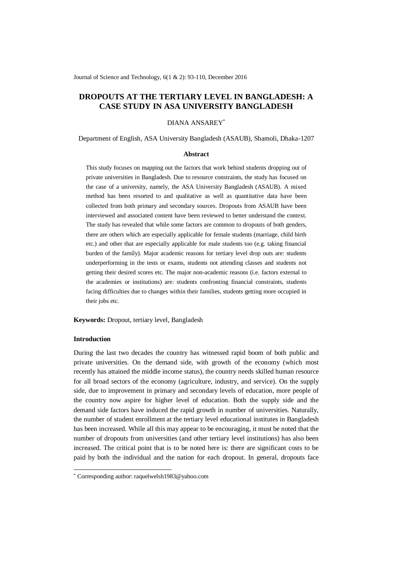Journal of Science and Technology, 6(1 & 2): 93-110, December 2016

# **DROPOUTS AT THE TERTIARY LEVEL IN BANGLADESH: A CASE STUDY IN ASA UNIVERSITY BANGLADESH**

### DIANA ANSAREY\*

Department of English, ASA University Bangladesh (ASAUB), Shamoli, Dhaka-1207

#### **Abstract**

This study focuses on mapping out the factors that work behind students dropping out of private universities in Bangladesh. Due to resource constraints, the study has focused on the case of a university, namely, the ASA University Bangladesh (ASAUB). A mixed method has been resorted to and qualitative as well as quantitative data have been collected from both primary and secondary sources. Dropouts from ASAUB have been interviewed and associated content have been reviewed to better understand the context. The study has revealed that while some factors are common to dropouts of both genders, there are others which are especially applicable for female students (marriage, child birth etc.) and other that are especially applicable for male students too (e.g. taking financial burden of the family). Major academic reasons for tertiary level drop outs are: students underperforming in the tests or exams, students not attending classes and students not getting their desired scores etc. The major non-academic reasons (i.e. factors external to the academies or institutions) are: students confronting financial constraints, students facing difficulties due to changes within their families, students getting more occupied in their jobs etc.

**Keywords:** Dropout, tertiary level, Bangladesh

### **Introduction**

-

During the last two decades the country has witnessed rapid boom of both public and private universities. On the demand side, with growth of the economy (which most recently has attained the middle income status), the country needs skilled human resource for all broad sectors of the economy (agriculture, industry, and service). On the supply side, due to improvement in primary and secondary levels of education, more people of the country now aspire for higher level of education. Both the supply side and the demand side factors have induced the rapid growth in number of universities. Naturally, the number of student enrollment at the tertiary level educational institutes in Bangladesh has been increased. While all this may appear to be encouraging, it must be noted that the number of dropouts from universities (and other tertiary level institutions) has also been increased. The critical point that is to be noted here is: there are significant costs to be paid by both the individual and the nation for each dropout. In general, dropouts face

<sup>\*</sup> Corresponding author: raquelwelsh1983@yahoo.com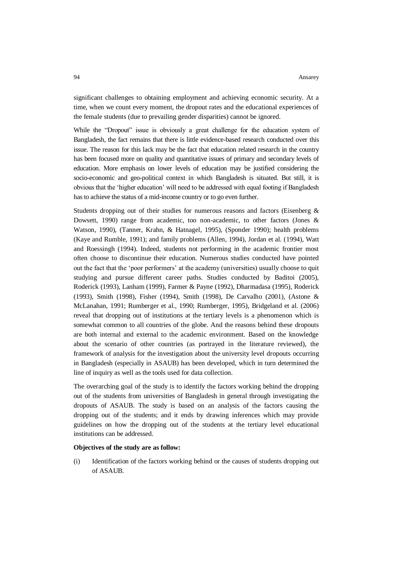significant challenges to obtaining employment and achieving economic security. At a time, when we count every moment, the dropout rates and the educational experiences of the female students (due to prevailing gender disparities) cannot be ignored.

While the "Dropout" issue is obviously a great challenge for the education system of Bangladesh, the fact remains that there is little evidence-based research conducted over this issue. The reason for this lack may be the fact that education related research in the country has been focused more on quality and quantitative issues of primary and secondary levels of education. More emphasis on lower levels of education may be justified considering the socio-economic and geo-political context in which Bangladesh is situated. But still, it is obvious that the 'higher education' will need to be addressed with equal footing if Bangladesh has to achieve the status of a mid-income country or to go even further.

Students dropping out of their studies for numerous reasons and factors (Eisenberg  $\&$ Dowsett, 1990) range from academic, too non-academic, to other factors (Jones & Watson, 1990), (Tanner, Krahn, & Hatnagel, 1995), (Sponder 1990); health problems (Kaye and Rumble, 1991); and family problems (Allen, 1994), Jordan et al. (1994), Watt and Roessingh (1994). Indeed, students not performing in the academic frontier most often choose to discontinue their education. Numerous studies conducted have pointed out the fact that the 'poor performers' at the academy (universities) usually choose to quit studying and pursue different career paths. Studies conducted by Baditoi (2005), Roderick (1993), Lanham (1999), Farmer & Payne (1992), Dharmadasa (1995), Roderick (1993), Smith (1998), Fisher (1994), Smith (1998), De Carvalho (2001), (Astone & McLanahan, 1991; Rumberger et al., 1990; Rumberger, 1995), Bridgeland et al. (2006) reveal that dropping out of institutions at the tertiary levels is a phenomenon which is somewhat common to all countries of the globe. And the reasons behind these dropouts are both internal and external to the academic environment. Based on the knowledge about the scenario of other countries (as portrayed in the literature reviewed), the framework of analysis for the investigation about the university level dropouts occurring in Bangladesh (especially in ASAUB) has been developed, which in turn determined the line of inquiry as well as the tools used for data collection.

The overarching goal of the study is to identify the factors working behind the dropping out of the students from universities of Bangladesh in general through investigating the dropouts of ASAUB. The study is based on an analysis of the factors causing the dropping out of the students; and it ends by drawing inferences which may provide guidelines on how the dropping out of the students at the tertiary level educational institutions can be addressed.

#### **Objectives of the study are as follow:**

(i) Identification of the factors working behind or the causes of students dropping out of ASAUB.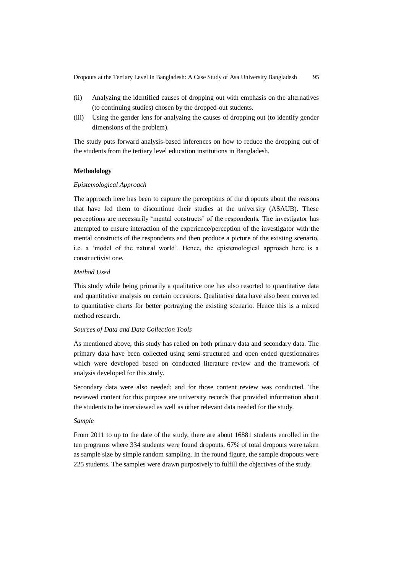- (ii) Analyzing the identified causes of dropping out with emphasis on the alternatives (to continuing studies) chosen by the dropped-out students.
- (iii) Using the gender lens for analyzing the causes of dropping out (to identify gender dimensions of the problem).

The study puts forward analysis-based inferences on how to reduce the dropping out of the students from the tertiary level education institutions in Bangladesh.

### **Methodology**

#### *Epistemological Approach*

The approach here has been to capture the perceptions of the dropouts about the reasons that have led them to discontinue their studies at the university (ASAUB). These perceptions are necessarily 'mental constructs' of the respondents. The investigator has attempted to ensure interaction of the experience/perception of the investigator with the mental constructs of the respondents and then produce a picture of the existing scenario, i.e. a 'model of the natural world'. Hence, the epistemological approach here is a constructivist one.

### *Method Used*

This study while being primarily a qualitative one has also resorted to quantitative data and quantitative analysis on certain occasions. Qualitative data have also been converted to quantitative charts for better portraying the existing scenario. Hence this is a mixed method research.

#### *Sources of Data and Data Collection Tools*

As mentioned above, this study has relied on both primary data and secondary data. The primary data have been collected using semi-structured and open ended questionnaires which were developed based on conducted literature review and the framework of analysis developed for this study.

Secondary data were also needed; and for those content review was conducted. The reviewed content for this purpose are university records that provided information about the students to be interviewed as well as other relevant data needed for the study.

### *Sample*

From 2011 to up to the date of the study, there are about 16881 students enrolled in the ten programs where 334 students were found dropouts. 67% of total dropouts were taken as sample size by simple random sampling. In the round figure, the sample dropouts were 225 students. The samples were drawn purposively to fulfill the objectives of the study.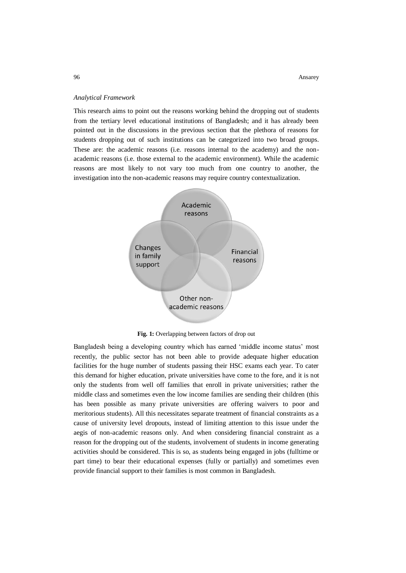#### *Analytical Framework*

This research aims to point out the reasons working behind the dropping out of students from the tertiary level educational institutions of Bangladesh; and it has already been pointed out in the discussions in the previous section that the plethora of reasons for students dropping out of such institutions can be categorized into two broad groups. These are: the academic reasons (i.e. reasons internal to the academy) and the nonacademic reasons (i.e. those external to the academic environment). While the academic reasons are most likely to not vary too much from one country to another, the investigation into the non-academic reasons may require country contextualization.



**Fig. 1:** Overlapping between factors of drop out

Bangladesh being a developing country which has earned 'middle income status' most recently, the public sector has not been able to provide adequate higher education facilities for the huge number of students passing their HSC exams each year. To cater this demand for higher education, private universities have come to the fore, and it is not only the students from well off families that enroll in private universities; rather the middle class and sometimes even the low income families are sending their children (this has been possible as many private universities are offering waivers to poor and meritorious students). All this necessitates separate treatment of financial constraints as a cause of university level dropouts, instead of limiting attention to this issue under the aegis of non-academic reasons only. And when considering financial constraint as a reason for the dropping out of the students, involvement of students in income generating activities should be considered. This is so, as students being engaged in jobs (fulltime or part time) to bear their educational expenses (fully or partially) and sometimes even provide financial support to their families is most common in Bangladesh.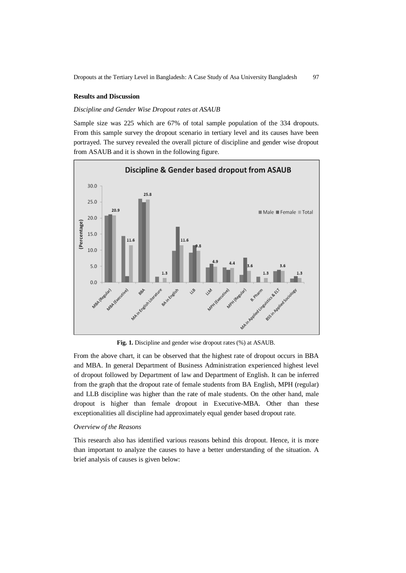### **Results and Discussion**

### *Discipline and Gender Wise Dropout rates at ASAUB*

Sample size was 225 which are 67% of total sample population of the 334 dropouts. From this sample survey the dropout scenario in tertiary level and its causes have been portrayed. The survey revealed the overall picture of discipline and gender wise dropout from ASAUB and it is shown in the following figure.



**Fig. 1.** Discipline and gender wise dropout rates (%) at ASAUB.

From the above chart, it can be observed that the highest rate of dropout occurs in BBA and MBA. In general Department of Business Administration experienced highest level of dropout followed by Department of law and Department of English. It can be inferred from the graph that the dropout rate of female students from BA English, MPH (regular) and LLB discipline was higher than the rate of male students. On the other hand, male dropout is higher than female dropout in Executive-MBA. Other than these exceptionalities all discipline had approximately equal gender based dropout rate.

#### *Overview of the Reasons*

This research also has identified various reasons behind this dropout. Hence, it is more than important to analyze the causes to have a better understanding of the situation. A brief analysis of causes is given below: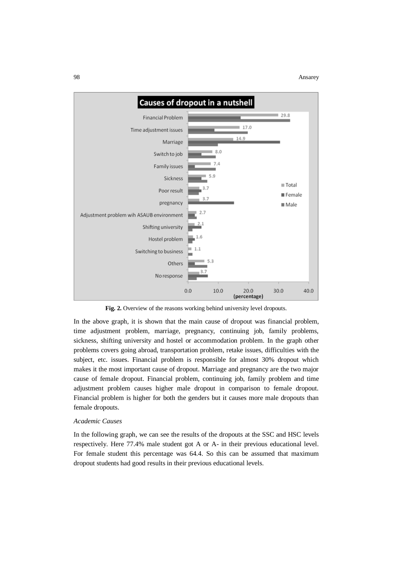

**Fig. 2.** Overview of the reasons working behind university level dropouts.

In the above graph, it is shown that the main cause of dropout was financial problem, time adjustment problem, marriage, pregnancy, continuing job, family problems, sickness, shifting university and hostel or accommodation problem. In the graph other problems covers going abroad, transportation problem, retake issues, difficulties with the subject, etc. issues. Financial problem is responsible for almost 30% dropout which makes it the most important cause of dropout. Marriage and pregnancy are the two major cause of female dropout. Financial problem, continuing job, family problem and time adjustment problem causes higher male dropout in comparison to female dropout. Financial problem is higher for both the genders but it causes more male dropouts than female dropouts.

#### *Academic Causes*

In the following graph, we can see the results of the dropouts at the SSC and HSC levels respectively. Here 77.4% male student got A or A- in their previous educational level. For female student this percentage was 64.4. So this can be assumed that maximum dropout students had good results in their previous educational levels.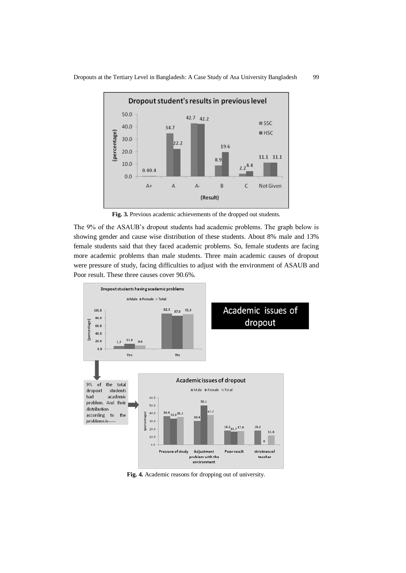

**Fig. 3.** Previous academic achievements of the dropped out students.

The 9% of the ASAUB's dropout students had academic problems. The graph below is showing gender and cause wise distribution of these students. About 8% male and 13% female students said that they faced academic problems. So, female students are facing more academic problems than male students. Three main academic causes of dropout were pressure of study, facing difficulties to adjust with the environment of ASAUB and Poor result. These three causes cover 90.6%.



**Fig. 4.** Academic reasons for dropping out of university.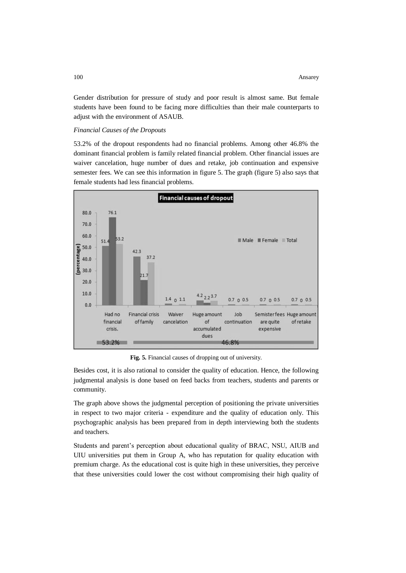Gender distribution for pressure of study and poor result is almost same. But female students have been found to be facing more difficulties than their male counterparts to adjust with the environment of ASAUB.

### *Financial Causes of the Dropouts*

53.2% of the dropout respondents had no financial problems. Among other 46.8% the dominant financial problem is family related financial problem. Other financial issues are waiver cancelation, huge number of dues and retake, job continuation and expensive semester fees. We can see this information in figure 5. The graph (figure 5) also says that female students had less financial problems.



**Fig. 5.** Financial causes of dropping out of university.

Besides cost, it is also rational to consider the quality of education. Hence, the following judgmental analysis is done based on feed backs from teachers, students and parents or community.

The graph above shows the judgmental perception of positioning the private universities in respect to two major criteria - expenditure and the quality of education only. This psychographic analysis has been prepared from in depth interviewing both the students and teachers.

Students and parent's perception about educational quality of BRAC, NSU, AIUB and UIU universities put them in Group A, who has reputation for quality education with premium charge. As the educational cost is quite high in these universities, they perceive that these universities could lower the cost without compromising their high quality of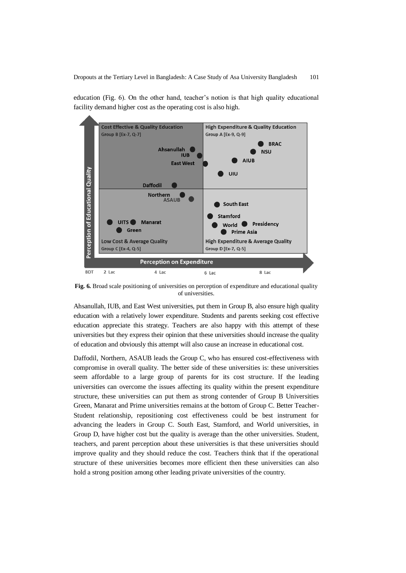

education (Fig. 6). On the other hand, teacher's notion is that high quality educational facility demand higher cost as the operating cost is also high.

**Fig. 6.** Broad scale positioning of universities on perception of expenditure and educational quality of universities.

Ahsanullah, IUB, and East West universities, put them in Group B, also ensure high quality education with a relatively lower expenditure. Students and parents seeking cost effective education appreciate this strategy. Teachers are also happy with this attempt of these universities but they express their opinion that these universities should increase the quality of education and obviously this attempt will also cause an increase in educational cost.

Daffodil, Northern, ASAUB leads the Group C, who has ensured cost-effectiveness with compromise in overall quality. The better side of these universities is: these universities seem affordable to a large group of parents for its cost structure. If the leading universities can overcome the issues affecting its quality within the present expenditure structure, these universities can put them as strong contender of Group B Universities Green, Manarat and Prime universities remains at the bottom of Group C. Better Teacher-Student relationship, repositioning cost effectiveness could be best instrument for advancing the leaders in Group C. South East, Stamford, and World universities, in Group D, have higher cost but the quality is average than the other universities. Student, teachers, and parent perception about these universities is that these universities should improve quality and they should reduce the cost. Teachers think that if the operational structure of these universities becomes more efficient then these universities can also hold a strong position among other leading private universities of the country.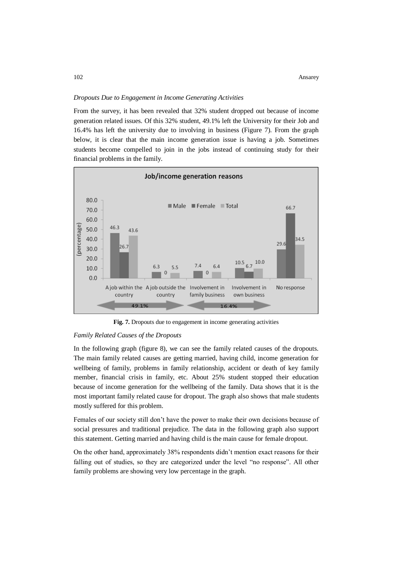### *Dropouts Due to Engagement in Income Generating Activities*

From the survey, it has been revealed that 32% student dropped out because of income generation related issues. Of this 32% student, 49.1% left the University for their Job and 16.4% has left the university due to involving in business (Figure 7). From the graph below, it is clear that the main income generation issue is having a job. Sometimes students become compelled to join in the jobs instead of continuing study for their financial problems in the family.



**Fig. 7.** Dropouts due to engagement in income generating activities

#### *Family Related Causes of the Dropouts*

In the following graph (figure 8), we can see the family related causes of the dropouts. The main family related causes are getting married, having child, income generation for wellbeing of family, problems in family relationship, accident or death of key family member, financial crisis in family, etc. About 25% student stopped their education because of income generation for the wellbeing of the family. Data shows that it is the most important family related cause for dropout. The graph also shows that male students mostly suffered for this problem.

Females of our society still don't have the power to make their own decisions because of social pressures and traditional prejudice. The data in the following graph also support this statement. Getting married and having child is the main cause for female dropout.

On the other hand, approximately 38% respondents didn't mention exact reasons for their falling out of studies, so they are categorized under the level "no response". All other family problems are showing very low percentage in the graph.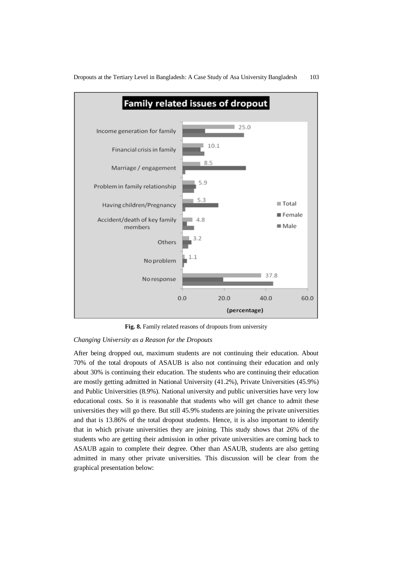

**Fig. 8.** Family related reasons of dropouts from university

### *Changing University as a Reason for the Dropouts*

After being dropped out, maximum students are not continuing their education. About 70% of the total dropouts of ASAUB is also not continuing their education and only about 30% is continuing their education. The students who are continuing their education are mostly getting admitted in National University (41.2%), Private Universities (45.9%) and Public Universities (8.9%). National university and public universities have very low educational costs. So it is reasonable that students who will get chance to admit these universities they will go there. But still 45.9% students are joining the private universities and that is 13.86% of the total dropout students. Hence, it is also important to identify that in which private universities they are joining. This study shows that 26% of the students who are getting their admission in other private universities are coming back to ASAUB again to complete their degree. Other than ASAUB, students are also getting admitted in many other private universities. This discussion will be clear from the graphical presentation below: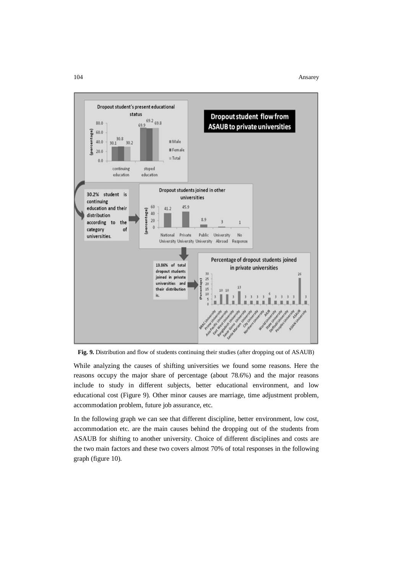#### 104 Ansarey



**Fig. 9.** Distribution and flow of students continuing their studies (after dropping out of ASAUB)

While analyzing the causes of shifting universities we found some reasons. Here the reasons occupy the major share of percentage (about 78.6%) and the major reasons include to study in different subjects, better educational environment, and low educational cost (Figure 9). Other minor causes are marriage, time adjustment problem, accommodation problem, future job assurance, etc.

In the following graph we can see that different discipline, better environment, low cost, accommodation etc. are the main causes behind the dropping out of the students from ASAUB for shifting to another university. Choice of different disciplines and costs are the two main factors and these two covers almost 70% of total responses in the following graph (figure 10).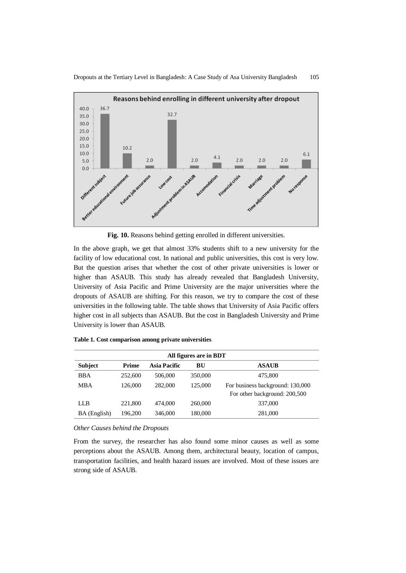

**Fig. 10.** Reasons behind getting enrolled in different universities.

In the above graph, we get that almost 33% students shift to a new university for the facility of low educational cost. In national and public universities, this cost is very low. But the question arises that whether the cost of other private universities is lower or higher than ASAUB. This study has already revealed that Bangladesh University, University of Asia Pacific and Prime University are the major universities where the dropouts of ASAUB are shifting. For this reason, we try to compare the cost of these universities in the following table. The table shows that University of Asia Pacific offers higher cost in all subjects than ASAUB. But the cost in Bangladesh University and Prime University is lower than ASAUB.

| All figures are in BDT |         |              |         |                                                                   |
|------------------------|---------|--------------|---------|-------------------------------------------------------------------|
| <b>Subject</b>         | Prime   | Asia Pacific | BU      | <b>ASAUB</b>                                                      |
| <b>BBA</b>             | 252,600 | 506,000      | 350,000 | 475,800                                                           |
| <b>MBA</b>             | 126,000 | 282,000      | 125,000 | For business background: 130,000<br>For other background: 200,500 |
| LLB                    | 221,800 | 474,000      | 260,000 | 337,000                                                           |
| BA (English)           | 196.200 | 346,000      | 180,000 | 281,000                                                           |

**Table 1. Cost comparison among private universities**

*Other Causes behind the Dropouts*

From the survey, the researcher has also found some minor causes as well as some perceptions about the ASAUB. Among them, architectural beauty, location of campus, transportation facilities, and health hazard issues are involved. Most of these issues are strong side of ASAUB.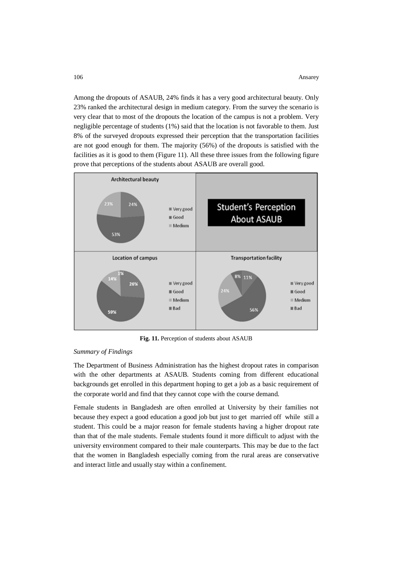Among the dropouts of ASAUB, 24% finds it has a very good architectural beauty. Only 23% ranked the architectural design in medium category. From the survey the scenario is very clear that to most of the dropouts the location of the campus is not a problem. Very negligible percentage of students (1%) said that the location is not favorable to them. Just 8% of the surveyed dropouts expressed their perception that the transportation facilities are not good enough for them. The majority (56%) of the dropouts is satisfied with the facilities as it is good to them (Figure 11). All these three issues from the following figure prove that perceptions of the students about ASAUB are overall good.



**Fig. 11.** Perception of students about ASAUB

### *Summary of Findings*

The Department of Business Administration has the highest dropout rates in comparison with the other departments at ASAUB. Students coming from different educational backgrounds get enrolled in this department hoping to get a job as a basic requirement of the corporate world and find that they cannot cope with the course demand.

Female students in Bangladesh are often enrolled at University by their families not because they expect a good education a good job but just to get married off while still a student. This could be a major reason for female students having a higher dropout rate than that of the male students. Female students found it more difficult to adjust with the university environment compared to their male counterparts. This may be due to the fact that the women in Bangladesh especially coming from the rural areas are conservative and interact little and usually stay within a confinement.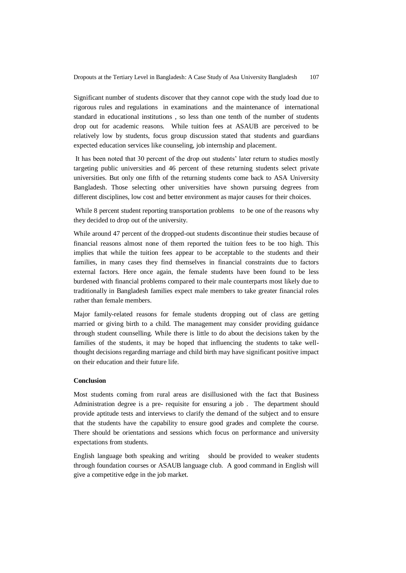Significant number of students discover that they cannot cope with the study load due to rigorous rules and regulations in examinations and the maintenance of international standard in educational institutions , so less than one tenth of the number of students drop out for academic reasons. While tuition fees at ASAUB are perceived to be relatively low by students, focus group discussion stated that students and guardians expected education services like counseling, job internship and placement.

It has been noted that 30 percent of the drop out students' later return to studies mostly targeting public universities and 46 percent of these returning students select private universities. But only one fifth of the returning students come back to ASA University Bangladesh. Those selecting other universities have shown pursuing degrees from different disciplines, low cost and better environment as major causes for their choices.

While 8 percent student reporting transportation problems to be one of the reasons why they decided to drop out of the university.

While around 47 percent of the dropped-out students discontinue their studies because of financial reasons almost none of them reported the tuition fees to be too high. This implies that while the tuition fees appear to be acceptable to the students and their families, in many cases they find themselves in financial constraints due to factors external factors. Here once again, the female students have been found to be less burdened with financial problems compared to their male counterparts most likely due to traditionally in Bangladesh families expect male members to take greater financial roles rather than female members.

Major family-related reasons for female students dropping out of class are getting married or giving birth to a child. The management may consider providing guidance through student counselling. While there is little to do about the decisions taken by the families of the students, it may be hoped that influencing the students to take wellthought decisions regarding marriage and child birth may have significant positive impact on their education and their future life.

## **Conclusion**

Most students coming from rural areas are disillusioned with the fact that Business Administration degree is a pre- requisite for ensuring a job . The department should provide aptitude tests and interviews to clarify the demand of the subject and to ensure that the students have the capability to ensure good grades and complete the course. There should be orientations and sessions which focus on performance and university expectations from students.

English language both speaking and writing should be provided to weaker students through foundation courses or ASAUB language club. A good command in English will give a competitive edge in the job market.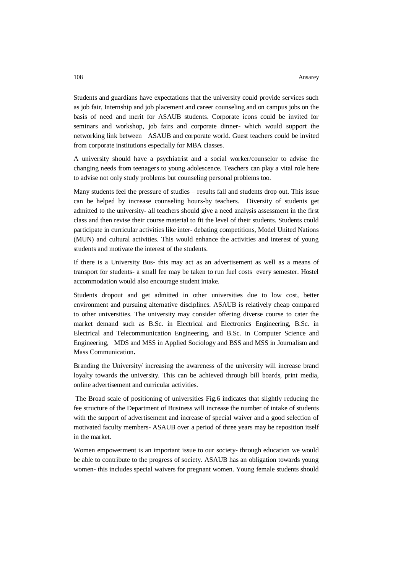Students and guardians have expectations that the university could provide services such as job fair, Internship and job placement and career counseling and on campus jobs on the basis of need and merit for ASAUB students. Corporate icons could be invited for seminars and workshop, job fairs and corporate dinner- which would support the networking link between ASAUB and corporate world. Guest teachers could be invited from corporate institutions especially for MBA classes.

A university should have a psychiatrist and a social worker/counselor to advise the changing needs from teenagers to young adolescence. Teachers can play a vital role here to advise not only study problems but counseling personal problems too.

Many students feel the pressure of studies – results fall and students drop out. This issue can be helped by increase counseling hours-by teachers. Diversity of students get admitted to the university- all teachers should give a need analysis assessment in the first class and then revise their course material to fit the level of their students. Students could participate in curricular activities like inter- debating competitions, Model United Nations (MUN) and cultural activities. This would enhance the activities and interest of young students and motivate the interest of the students.

If there is a University Bus- this may act as an advertisement as well as a means of transport for students- a small fee may be taken to run fuel costs every semester. Hostel accommodation would also encourage student intake.

Students dropout and get admitted in other universities due to low cost, better environment and pursuing alternative disciplines. ASAUB is relatively cheap compared to other universities. The university may consider offering diverse course to cater the market demand such as B.Sc. in Electrical and Electronics Engineering, B.Sc. in Electrical and Telecommunication Engineering, and B.Sc. in Computer Science and Engineering, MDS and MSS in Applied Sociology and BSS and MSS in Journalism and Mass Communication**.**

Branding the University/ increasing the awareness of the university will increase brand loyalty towards the university. This can be achieved through bill boards, print media, online advertisement and curricular activities.

The Broad scale of positioning of universities Fig.6 indicates that slightly reducing the fee structure of the Department of Business will increase the number of intake of students with the support of advertisement and increase of special waiver and a good selection of motivated faculty members- ASAUB over a period of three years may be reposition itself in the market.

Women empowerment is an important issue to our society- through education we would be able to contribute to the progress of society. ASAUB has an obligation towards young women- this includes special waivers for pregnant women. Young female students should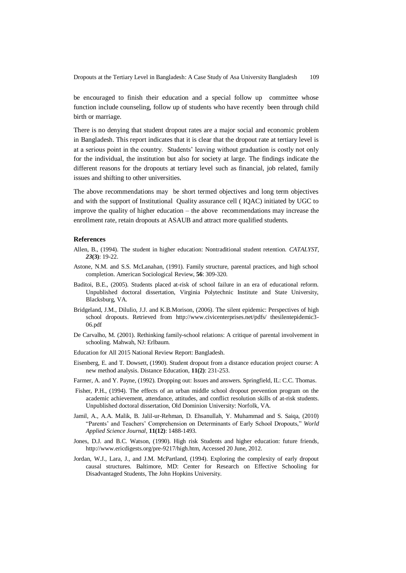Dropouts at the Tertiary Level in Bangladesh: A Case Study of Asa University Bangladesh 109

be encouraged to finish their education and a special follow up committee whose function include counseling, follow up of students who have recently been through child birth or marriage.

There is no denying that student dropout rates are a major social and economic problem in Bangladesh. This report indicates that it is clear that the dropout rate at tertiary level is at a serious point in the country. Students' leaving without graduation is costly not only for the individual, the institution but also for society at large. The findings indicate the different reasons for the dropouts at tertiary level such as financial, job related, family issues and shifting to other universities.

The above recommendations may be short termed objectives and long term objectives and with the support of Institutional Quality assurance cell ( IQAC) initiated by UGC to improve the quality of higher education – the above recommendations may increase the enrollment rate, retain dropouts at ASAUB and attract more qualified students.

### **References**

- Allen, B., (1994). The student in higher education: Nontraditional student retention. *CATALYST, 23***(3)**: 19-22.
- Astone, N.M. and S.S. McLanahan, (1991). Family structure, parental practices, and high school completion. American Sociological Review, **56**: 309-320.
- Baditoi, B.E., (2005). Students placed at-risk of school failure in an era of educational reform. Unpublished doctoral dissertation, Virginia Polytechnic Institute and State University, Blacksburg, VA.
- Bridgeland, J.M., Dilulio, J.J. and K.B.Morison, (2006). The silent epidemic: Perspectives of high school dropouts. Retrieved from http://www.civicenterprises.net/pdfs/ thesilentepidemic3-06.pdf
- De Carvalho, M. (2001). Rethinking family-school relations: A critique of parental involvement in schooling. Mahwah, NJ: Erlbaum.
- Education for All 2015 National Review Report: Bangladesh.
- Eisenberg, E. and T. Dowsett, (1990). Student dropout from a distance education project course: A new method analysis. Distance Education, **11(2)**: 231-253.
- Farmer, A. and Y. Payne, (1992). Dropping out: Issues and answers. Springfield, IL: C.C. Thomas.
- Fisher, P.H., (1994). The effects of an urban middle school dropout prevention program on the academic achievement, attendance, attitudes, and conflict resolution skills of at-risk students. Unpublished doctoral dissertation, Old Dominion University: Norfolk, VA.
- Jamil, A., A.A. Malik, B. Jalil-ur-Rehman, D. Ehsanullah, Y. Muhammad and S. Saiqa, (2010) "Parents' and Teachers' Comprehension on Determinants of Early School Dropouts," *World Applied Science Journal*, **11(12)**: 1488-1493.
- Jones, D.J. and B.C. Watson, (1990). High risk Students and higher education: future friends, http://www.ericdigests.org/pre-9217/high.htm, Accessed 20 June, 2012.
- Jordan, W.J., Lara, J., and J.M. McPartland, (1994). Exploring the complexity of early dropout causal structures. Baltimore, MD: Center for Research on Effective Schooling for Disadvantaged Students, The John Hopkins University.